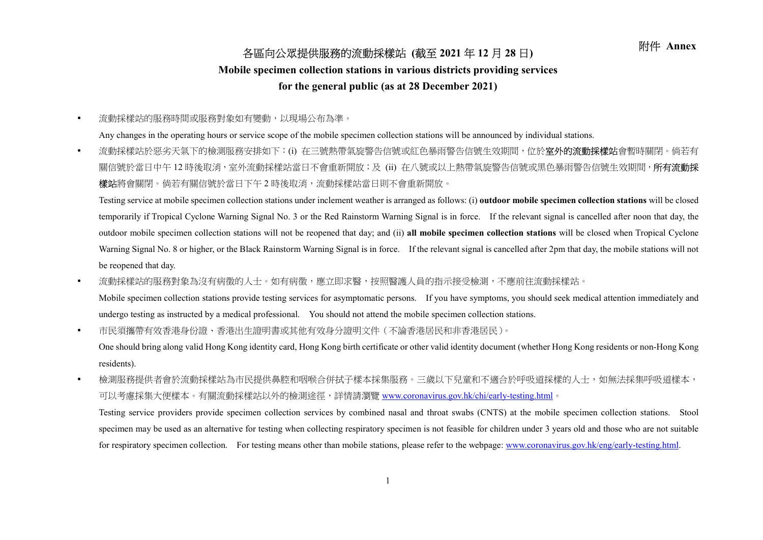## 附件 Annex 各區向公眾提供服務的流動採樣站 (截至 <sup>2021</sup> <sup>年</sup> <sup>12</sup> <sup>月</sup> <sup>28</sup> <sup>日</sup>)

## Mobile specimen collection stations in various districts providing services

## for the general public (as at 28 December 2021)

流動採樣站的服務時間或服務對象如有變動,以現場公布為準。

Any changes in the operating hours or service scope of the mobile specimen collection stations will be announced by individual stations.

• 流動採樣站於惡劣天氣下的檢測服務安排如下:(i) 在三號熱帶氣旋警告信號或紅色暴雨警告信號生效期間,位於**室外的流動採樣站**會暫時關閉。倘若有 關信號於當日中午 12 時後取消,室外流動採樣站當日不會重新開放;及 (ii) 在八號或以上熱帶氣旋警告信號或黑色暴雨警告信號生效期間,**所有流動採** 樣站將會關閉。倘若有關信號於當日下午2時後取消,流動採樣站當日則不會重新開放。

Testing service at mobile specimen collection stations under inclement weather is arranged as follows: (i) outdoor mobile specimen collection stations will be closed temporarily if Tropical Cyclone Warning Signal No. 3 or the Red Rainstorm Warning Signal is in force. If the relevant signal is cancelled after noon that day, the outdoor mobile specimen collection stations will not be reopened that day; and (ii) all mobile specimen collection stations will be closed when Tropical Cyclone Warning Signal No. 8 or higher, or the Black Rainstorm Warning Signal is in force. If the relevant signal is cancelled after 2pm that day, the mobile stations will not be reopened that day.

• 流動採樣站的服務對象為沒有病徵的人士。如有病徵,應立即求醫,按照醫護人員的指示接受檢測,不應前往流動採樣站。

Mobile specimen collection stations provide testing services for asymptomatic persons. If you have symptoms, you should seek medical attention immediately and undergo testing as instructed by a medical professional. You should not attend the mobile specimen collection stations.

市民須攜帶有效香港身份證、香港出生證明書或其他有效身分證明文件(不論香港居民和非香港居民)。

One should bring along valid Hong Kong identity card, Hong Kong birth certificate or other valid identity document (whether Hong Kong residents or non-Hong Kong residents).

• 檢測服務提供者會於流動採樣站為市民提供鼻腔和咽喉合併拭子樣本採集服務。三歲以下兒童和不適合於呼吸道採樣的人士,如無法採集呼吸道樣本, 可以考慮採集大便樣本。有關流動採樣站以外的檢測途徑,詳情請瀏覽 www.coronavirus.gov.hk/chi/early-testing.html。

Testing service providers provide specimen collection services by combined nasal and throat swabs (CNTS) at the mobile specimen collection stations. Stool specimen may be used as an alternative for testing when collecting respiratory specimen is not feasible for children under 3 years old and those who are not suitable for respiratory specimen collection. For testing means other than mobile stations, please refer to the webpage: www.coronavirus.gov.hk/eng/early-testing.html.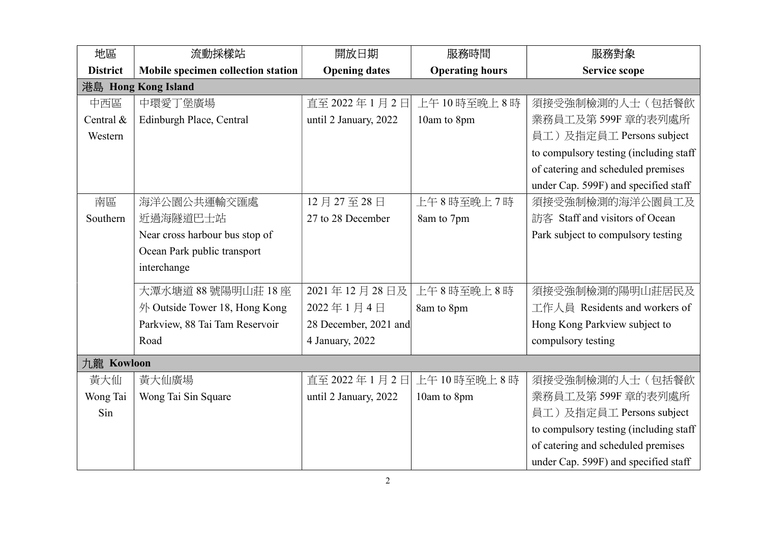| 地區              | 流動採樣站                              | 開放日期                  | 服務時間                   | 服務對象                                    |  |  |
|-----------------|------------------------------------|-----------------------|------------------------|-----------------------------------------|--|--|
| <b>District</b> | Mobile specimen collection station | <b>Opening dates</b>  | <b>Operating hours</b> | <b>Service scope</b>                    |  |  |
|                 | 港島 Hong Kong Island                |                       |                        |                                         |  |  |
| 中西區             | 中環愛丁堡廣場                            | 直至 2022年1月2日          | 上午10時至晚上8時             | 須接受強制檢測的人士(包括餐飲                         |  |  |
| Central &       | Edinburgh Place, Central           | until 2 January, 2022 | 10am to 8pm            | 業務員工及第599F 章的表列處所                       |  |  |
| Western         |                                    |                       |                        | 員工)及指定員工 Persons subject                |  |  |
|                 |                                    |                       |                        | to compulsory testing (including staff) |  |  |
|                 |                                    |                       |                        | of catering and scheduled premises      |  |  |
|                 |                                    |                       |                        | under Cap. 599F) and specified staff    |  |  |
| 南區              | 海洋公園公共運輸交匯處                        | 12月27至28日             | 上午8時至晚上7時              | 須接受強制檢測的海洋公園員工及                         |  |  |
| Southern        | 近過海隧道巴士站                           | 27 to 28 December     | 8am to 7pm             | 訪客 Staff and visitors of Ocean          |  |  |
|                 | Near cross harbour bus stop of     |                       |                        | Park subject to compulsory testing      |  |  |
|                 | Ocean Park public transport        |                       |                        |                                         |  |  |
|                 | interchange                        |                       |                        |                                         |  |  |
|                 | 大潭水塘道 88號陽明山莊 18座                  | 2021年12月28日及          | 上午8時至晚上8時              | 須接受強制檢測的陽明山莊居民及                         |  |  |
|                 | 外 Outside Tower 18, Hong Kong      | 2022年1月4日             | 8am to 8pm             | 工作人員 Residents and workers of           |  |  |
|                 | Parkview, 88 Tai Tam Reservoir     | 28 December, 2021 and |                        | Hong Kong Parkview subject to           |  |  |
|                 | Road                               | 4 January, 2022       |                        | compulsory testing                      |  |  |
| 九龍 Kowloon      |                                    |                       |                        |                                         |  |  |
| 黃大仙             | 黃大仙廣場                              | 直至 2022年1月2日          | 上午10時至晚上8時             | 須接受強制檢測的人士(包括餐飲                         |  |  |
| Wong Tai        | Wong Tai Sin Square                | until 2 January, 2022 | 10am to 8pm            | 業務員工及第599F 章的表列處所                       |  |  |
| Sin             |                                    |                       |                        | 員工)及指定員工 Persons subject                |  |  |
|                 |                                    |                       |                        | to compulsory testing (including staff  |  |  |
|                 |                                    |                       |                        | of catering and scheduled premises      |  |  |
|                 |                                    |                       |                        | under Cap. 599F) and specified staff    |  |  |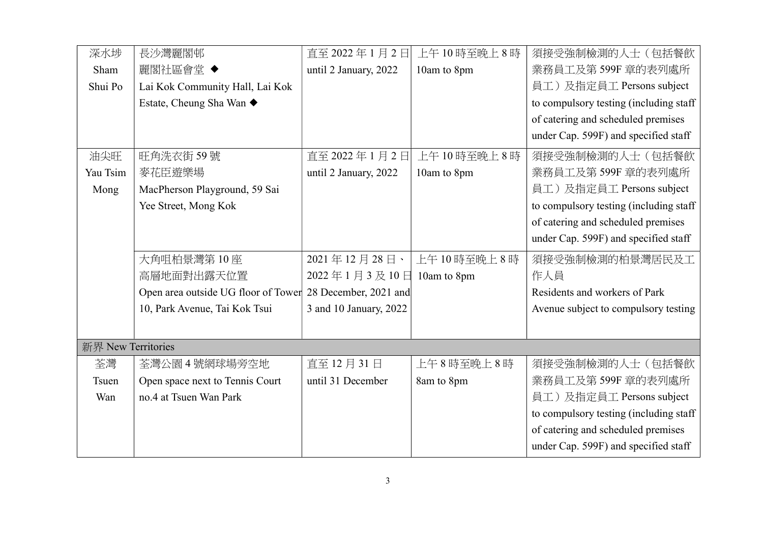| 深水埗                | 長沙灣麗閣邨                                                    | 直至 2022年1月2日           | 上午10時至晚上8時  | 須接受強制檢測的人士(包括餐飲                        |  |  |
|--------------------|-----------------------------------------------------------|------------------------|-------------|----------------------------------------|--|--|
| Sham               | 麗閣社區會堂 ◆                                                  | until 2 January, 2022  | 10am to 8pm | 業務員工及第599F 章的表列處所                      |  |  |
| Shui Po            | Lai Kok Community Hall, Lai Kok                           |                        |             | 員工)及指定員工 Persons subject               |  |  |
|                    | Estate, Cheung Sha Wan ◆                                  |                        |             | to compulsory testing (including staff |  |  |
|                    |                                                           |                        |             | of catering and scheduled premises     |  |  |
|                    |                                                           |                        |             | under Cap. 599F) and specified staff   |  |  |
| 油尖旺                | 旺角洗衣街59號                                                  | 直至 2022年1月2日           | 上午10時至晚上8時  | 須接受強制檢測的人士(包括餐飲                        |  |  |
| Yau Tsim           | 麥花臣遊樂場                                                    | until 2 January, 2022  | 10am to 8pm | 業務員工及第599F 章的表列處所                      |  |  |
| Mong               | MacPherson Playground, 59 Sai                             |                        |             | 員工)及指定員工 Persons subject               |  |  |
|                    | Yee Street, Mong Kok                                      |                        |             | to compulsory testing (including staff |  |  |
|                    |                                                           |                        |             | of catering and scheduled premises     |  |  |
|                    |                                                           |                        |             | under Cap. 599F) and specified staff   |  |  |
|                    | 大角咀柏景灣第10座                                                | 2021年12月28日、           | 上午10時至晚上8時  | 須接受強制檢測的柏景灣居民及工                        |  |  |
|                    | 高層地面對出露天位置                                                | 2022年1月3及10日           | 10am to 8pm | 作人員                                    |  |  |
|                    | Open area outside UG floor of Tower 28 December, 2021 and |                        |             | Residents and workers of Park          |  |  |
|                    | 10, Park Avenue, Tai Kok Tsui                             | 3 and 10 January, 2022 |             | Avenue subject to compulsory testing   |  |  |
|                    |                                                           |                        |             |                                        |  |  |
| 新界 New Territories |                                                           |                        |             |                                        |  |  |
| 荃灣                 | 荃灣公園4號網球場旁空地                                              | 直至 12 月 31 日           | 上午8時至晚上8時   | 須接受強制檢測的人士(包括餐飲                        |  |  |
| Tsuen              | Open space next to Tennis Court                           | until 31 December      | 8am to 8pm  | 業務員工及第599F 章的表列處所                      |  |  |
| Wan                | no.4 at Tsuen Wan Park                                    |                        |             | 員工)及指定員工 Persons subject               |  |  |
|                    |                                                           |                        |             | to compulsory testing (including staff |  |  |
|                    |                                                           |                        |             | of catering and scheduled premises     |  |  |
|                    |                                                           |                        |             | under Cap. 599F) and specified staff   |  |  |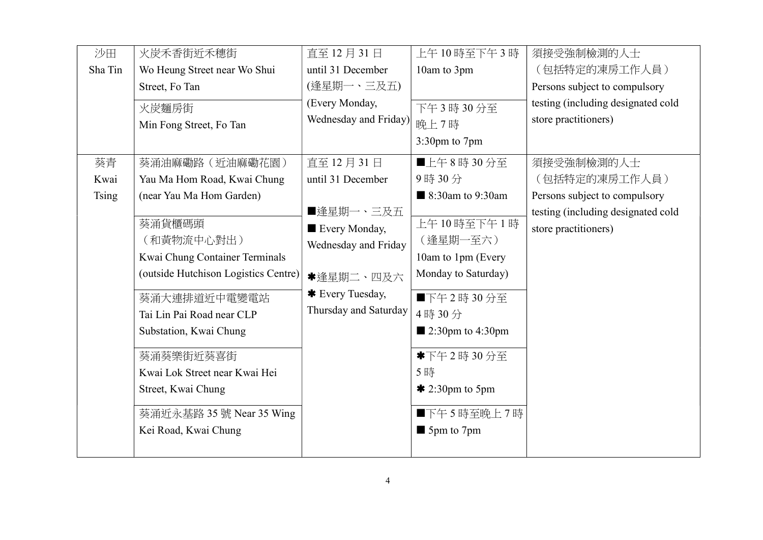| 沙田           | 火炭禾香街近禾穗街                                                                                                                                                                                                                                                                                     | 直至 12月31日                                                                                                    | 上午10時至下午3時                                                                                                                                                                                                      | 須接受強制檢測的人士                                                 |
|--------------|-----------------------------------------------------------------------------------------------------------------------------------------------------------------------------------------------------------------------------------------------------------------------------------------------|--------------------------------------------------------------------------------------------------------------|-----------------------------------------------------------------------------------------------------------------------------------------------------------------------------------------------------------------|------------------------------------------------------------|
| Sha Tin      | Wo Heung Street near Wo Shui                                                                                                                                                                                                                                                                  | until 31 December                                                                                            | 10am to 3pm                                                                                                                                                                                                     | (包括特定的凍房工作人員)                                              |
|              | Street, Fo Tan                                                                                                                                                                                                                                                                                | (逢星期一、三及五)                                                                                                   |                                                                                                                                                                                                                 | Persons subject to compulsory                              |
|              | 火炭麵房街                                                                                                                                                                                                                                                                                         | (Every Monday,                                                                                               | 下午3時30分至                                                                                                                                                                                                        | testing (including designated cold                         |
|              | Min Fong Street, Fo Tan                                                                                                                                                                                                                                                                       | Wednesday and Friday)                                                                                        | 晚上7時                                                                                                                                                                                                            | store practitioners)                                       |
|              |                                                                                                                                                                                                                                                                                               |                                                                                                              | 3:30pm to 7pm                                                                                                                                                                                                   |                                                            |
| 葵青           | 葵涌油麻磡路 (近油麻磡花園)                                                                                                                                                                                                                                                                               | 直至 12月31日                                                                                                    | ■上午8時30分至                                                                                                                                                                                                       | 須接受強制檢測的人士                                                 |
| Kwai         | Yau Ma Hom Road, Kwai Chung                                                                                                                                                                                                                                                                   | until 31 December                                                                                            | 9時30分                                                                                                                                                                                                           | (包括特定的凍房工作人員)                                              |
| <b>Tsing</b> | (near Yau Ma Hom Garden)                                                                                                                                                                                                                                                                      |                                                                                                              | ■ 8:30am to 9:30am                                                                                                                                                                                              | Persons subject to compulsory                              |
|              | 葵涌貨櫃碼頭<br>(和黃物流中心對出)<br>Kwai Chung Container Terminals<br>(outside Hutchison Logistics Centre)<br>葵涌大連排道近中電變電站<br>Tai Lin Pai Road near CLP<br>Substation, Kwai Chung<br>葵涌葵樂街近葵喜街<br>Kwai Lok Street near Kwai Hei<br>Street, Kwai Chung<br>葵涌近永基路 35 號 Near 35 Wing<br>Kei Road, Kwai Chung | ■逢星期一、三及五<br>Every Monday,<br>Wednesday and Friday<br>*逢星期二、四及六<br>* Every Tuesday,<br>Thursday and Saturday | 上午10時至下午1時<br>(逢星期一至六)<br>10am to 1pm (Every<br>Monday to Saturday)<br>■下午2時30分至<br>4時30分<br>$\blacksquare$ 2:30pm to 4:30pm<br>*下午2時30分至<br>5時<br>$*$ 2:30pm to 5pm<br>■下午5時至晚上7時<br>$\blacksquare$ 5pm to 7pm | testing (including designated cold<br>store practitioners) |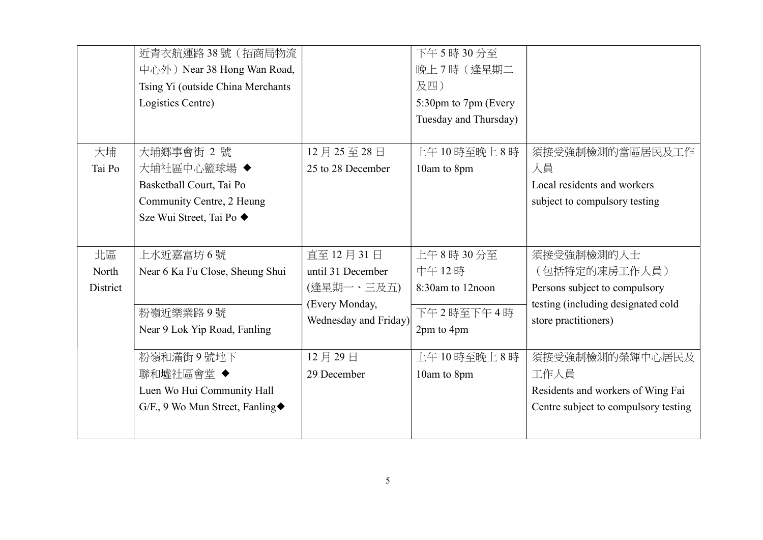|          | 近青衣航運路38號(招商局物流<br>中心外) Near 38 Hong Wan Road, |                       | 下午5時30分至<br>晚上7時 (逢星期二                        |                                      |
|----------|------------------------------------------------|-----------------------|-----------------------------------------------|--------------------------------------|
|          | Tsing Yi (outside China Merchants              |                       | 及四)                                           |                                      |
|          | Logistics Centre)                              |                       | 5:30pm to 7pm (Every<br>Tuesday and Thursday) |                                      |
| 大埔       | 大埔鄉事會街 2號                                      | 12月25至28日             | 上午10時至晚上8時                                    | 須接受強制檢測的當區居民及工作                      |
| Tai Po   | 大埔社區中心籃球場 ◆                                    | 25 to 28 December     | 10am to 8pm                                   | 人員                                   |
|          | Basketball Court, Tai Po                       |                       |                                               | Local residents and workers          |
|          | Community Centre, 2 Heung                      |                       |                                               | subject to compulsory testing        |
|          | Sze Wui Street, Tai Po ◆                       |                       |                                               |                                      |
| 北區       | 上水近嘉富坊 6 號                                     | 直至 12月31日             | 上午8時30分至                                      | 須接受強制檢測的人士                           |
| North    | Near 6 Ka Fu Close, Sheung Shui                | until 31 December     | 中午12時                                         | (包括特定的凍房工作人員)                        |
| District |                                                | (逢星期一、三及五)            | 8:30am to 12noon                              | Persons subject to compulsory        |
|          | 粉嶺近樂業路9號                                       | (Every Monday,        | 下午2時至下午4時                                     | testing (including designated cold   |
|          | Near 9 Lok Yip Road, Fanling                   | Wednesday and Friday) | 2pm to 4pm                                    | store practitioners)                 |
|          | 粉嶺和滿街9號地下                                      | 12月29日                | 上午10時至晚上8時                                    | 須接受強制檢測的榮輝中心居民及                      |
|          | 聯和墟社區會堂 ◆                                      | 29 December           | 10am to 8pm                                   | 工作人員                                 |
|          | Luen Wo Hui Community Hall                     |                       |                                               | Residents and workers of Wing Fai    |
|          | G/F., 9 Wo Mun Street, Fanling◆                |                       |                                               | Centre subject to compulsory testing |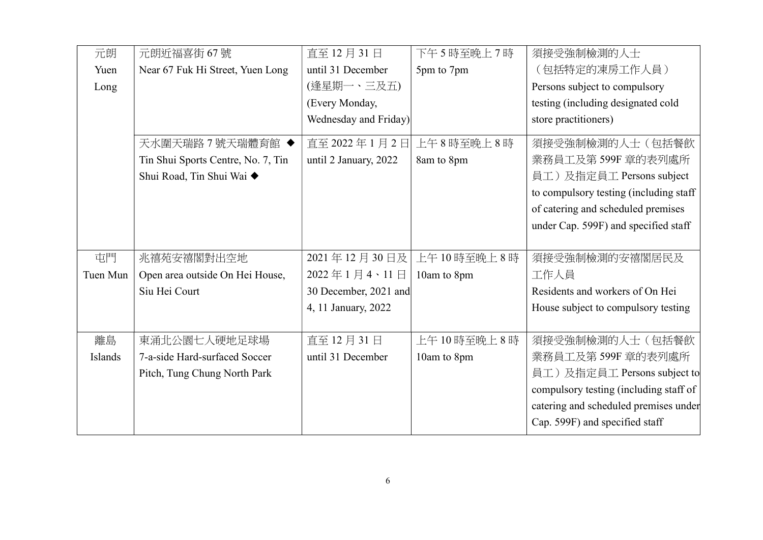| 元朗             | 元朗近福喜街 67號                         | 直至 12月31日             | 下午5時至晚上7時   | 須接受強制檢測的人士                             |
|----------------|------------------------------------|-----------------------|-------------|----------------------------------------|
| Yuen           | Near 67 Fuk Hi Street, Yuen Long   | until 31 December     | 5pm to 7pm  | (包括特定的凍房工作人員)                          |
| Long           |                                    | (逢星期一、三及五)            |             | Persons subject to compulsory          |
|                |                                    | (Every Monday,        |             | testing (including designated cold     |
|                |                                    | Wednesday and Friday) |             | store practitioners)                   |
|                | 天水圍天瑞路7號天瑞體育館 ◆                    | 直至 2022年1月2日          | 上午8時至晚上8時   | 須接受強制檢測的人士(包括餐飲                        |
|                | Tin Shui Sports Centre, No. 7, Tin | until 2 January, 2022 | 8am to 8pm  | 業務員工及第599F 章的表列處所                      |
|                | Shui Road, Tin Shui Wai ◆          |                       |             | 員工)及指定員工 Persons subject               |
|                |                                    |                       |             | to compulsory testing (including staff |
|                |                                    |                       |             | of catering and scheduled premises     |
|                |                                    |                       |             | under Cap. 599F) and specified staff   |
|                |                                    |                       |             |                                        |
| 屯門             | 兆禧苑安禧閣對出空地                         | 2021年12月30日及          | 上午10時至晚上8時  | 須接受強制檢測的安禧閣居民及                         |
| Tuen Mun       | Open area outside On Hei House,    | 2022年1月4、11日          | 10am to 8pm | 工作人員                                   |
|                | Siu Hei Court                      | 30 December, 2021 and |             | Residents and workers of On Hei        |
|                |                                    | 4, 11 January, 2022   |             | House subject to compulsory testing    |
|                |                                    |                       |             |                                        |
| 離島             | 東涌北公園七人硬地足球場                       | 直至 12月 31日            | 上午10時至晚上8時  | 須接受強制檢測的人士(包括餐飲                        |
| <b>Islands</b> | 7-a-side Hard-surfaced Soccer      | until 31 December     | 10am to 8pm | 業務員工及第 599F 章的表列處所                     |
|                | Pitch, Tung Chung North Park       |                       |             | 員工)及指定員工 Persons subject to            |
|                |                                    |                       |             | compulsory testing (including staff of |
|                |                                    |                       |             | catering and scheduled premises under  |
|                |                                    |                       |             | Cap. 599F) and specified staff         |